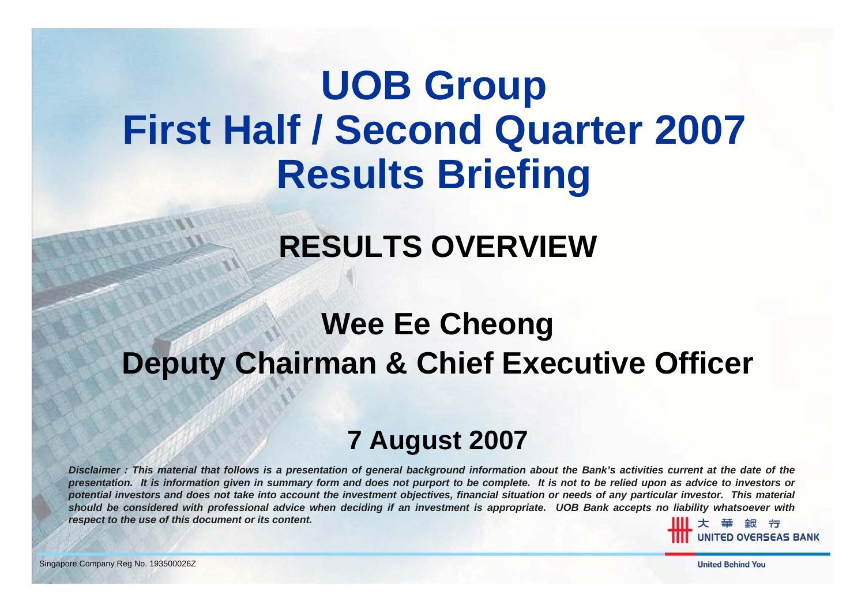# **UOB Group First Half / Second Quarter 2007 Results Briefing**

# **RESULTS OVERVIEW**

#### **Wee Ee Cheong Deputy Chairman & Chief Executive Officer**

#### **7 August 2007**

*Disclaimer : This material that follows is a presentation of general background information about the Bank's activities current at the date of the presentation. It is information given in summary form and does not purport to be complete. It is not to be relied upon as advice to investors or potential investors and does not take into account the investment objectives, financial situation or needs of any particular investor. This material should be considered with professional advice when deciding if an investment is appropriate. UOB Bank accepts no liability whatsoever with respect to the use of this document or its content.*

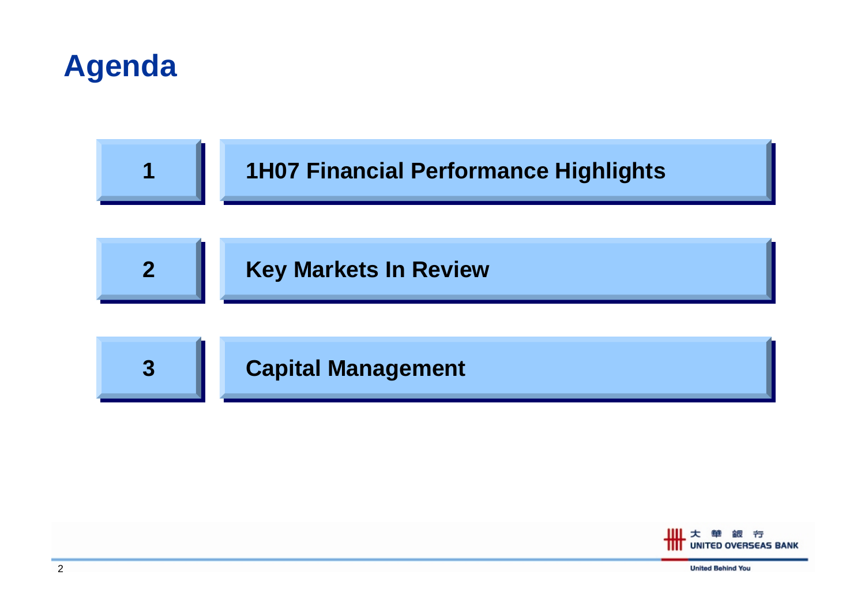



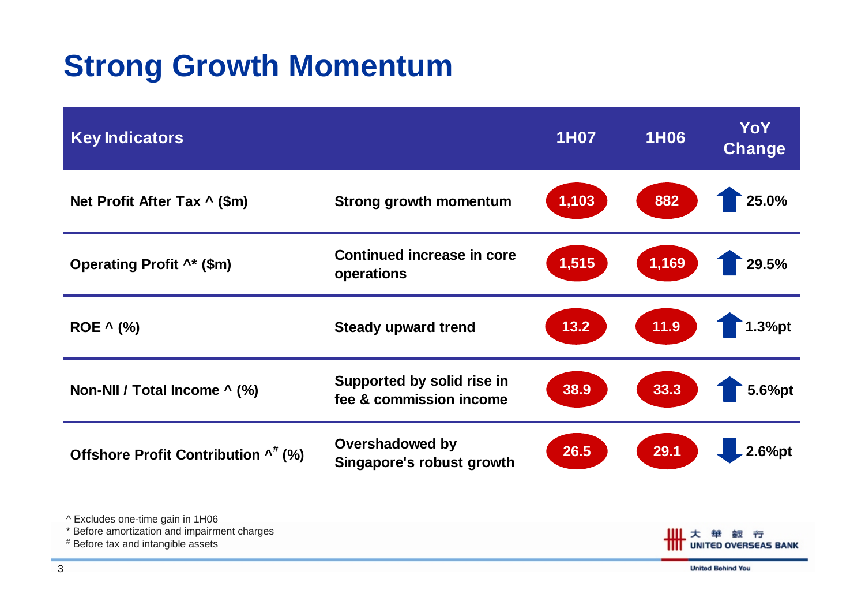## **Strong Growth Momentum**

| <b>Key Indicators</b>                                                                                                |                                                            | <b>1H07</b> | <b>1H06</b> | <b>YoY</b><br>Change             |
|----------------------------------------------------------------------------------------------------------------------|------------------------------------------------------------|-------------|-------------|----------------------------------|
| Net Profit After Tax ^ (\$m)                                                                                         | <b>Strong growth momentum</b>                              | 1,103       | 882         | 25.0%                            |
| Operating Profit ^* (\$m)                                                                                            | <b>Continued increase in core</b><br>operations            | 1,515       | 1,169       | 29.5%                            |
| ROE ^ (%)                                                                                                            | <b>Steady upward trend</b>                                 | 13.2        | 11.9        | 1.3%pt                           |
| Non-NII / Total Income ^ (%)                                                                                         | Supported by solid rise in<br>fee & commission income      | 38.9        | 33.3        | 5.6%pt                           |
| Offshore Profit Contribution ^* (%)                                                                                  | <b>Overshadowed by</b><br><b>Singapore's robust growth</b> | 26.5        | 29.1        | 2.6%pt                           |
| ^ Excludes one-time gain in 1H06<br>Before amortization and impairment charges<br># Before tax and intangible assets |                                                            |             | ш           | 亐<br><b>UNITED OVERSEAS BANK</b> |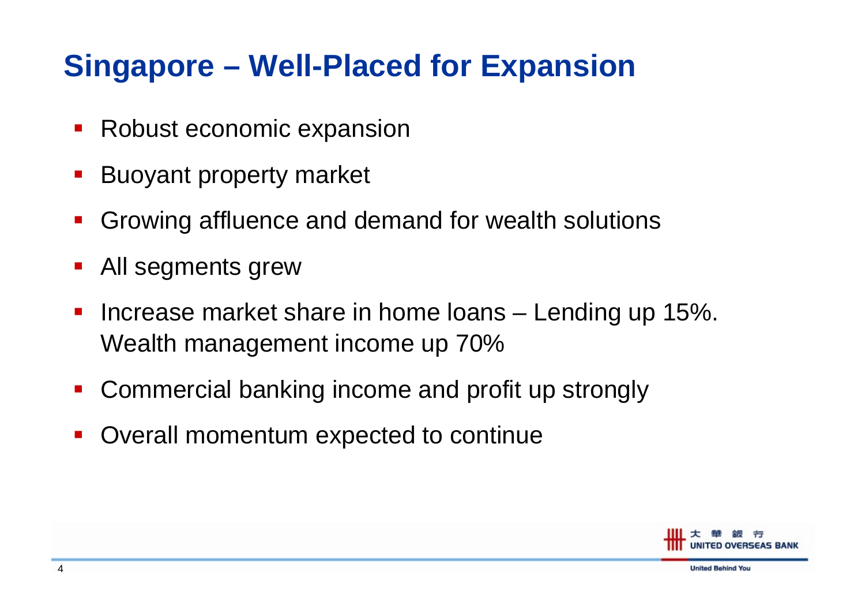#### **Singapore – Well-Placed for Expansion**

- $\mathcal{L}_{\mathcal{A}}$ Robust economic expansion
- $\blacksquare$ Buoyant property market
- T. Growing affluence and demand for wealth solutions
- T. All segments grew
- T. **Increase market share in home loans – Lending up 15%.** Wealth management income up 70%
- $\mathbf{r}$ Commercial banking income and profit up strongly
- T. Overall momentum expected to continue

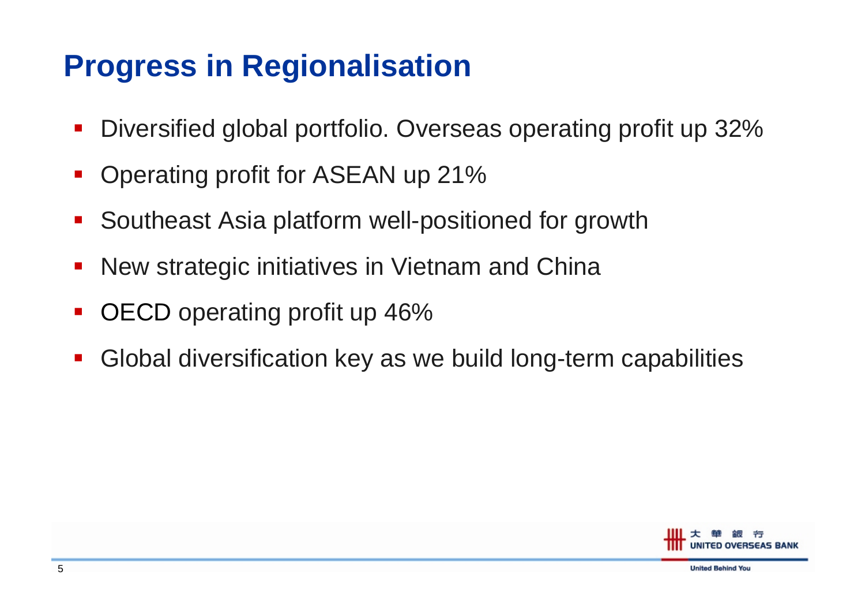#### **Progress in Regionalisation**

- $\blacksquare$ Diversified global portfolio. Overseas operating profit up 32%
- T. Operating profit for ASEAN up 21%
- T. Southeast Asia platform well-positioned for growth
- T. New strategic initiatives in Vietnam and China
- T. OECD operating profit up 46%
- $\mathcal{L}_{\mathcal{A}}$ Global diversification key as we build long-term capabilities

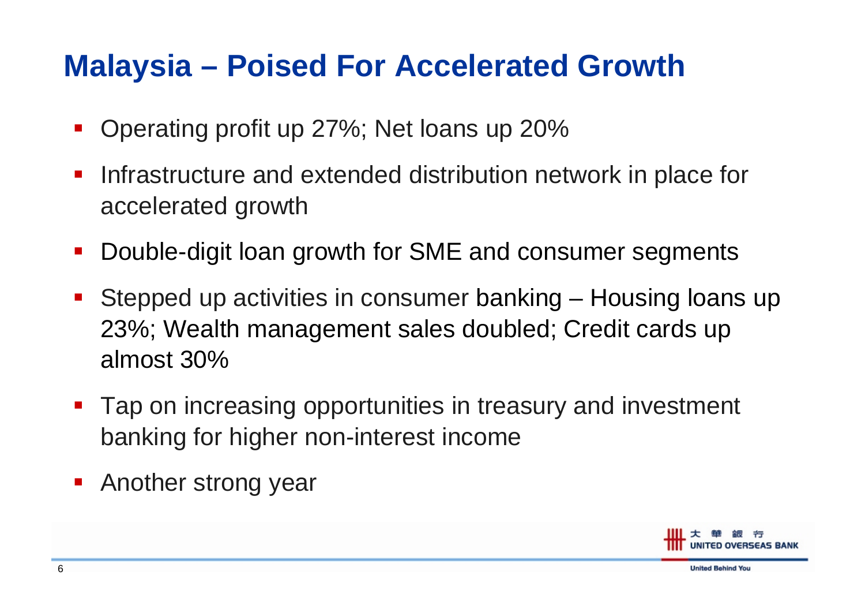#### **Malaysia – Poised For Accelerated Growth**

- T. Operating profit up 27%; Net loans up 20%
- $\mathcal{L}_{\mathcal{A}}$  Infrastructure and extended distribution network in place for accelerated growth
- $\blacksquare$ Double-digit loan growth for SME and consumer segments
- T. Stepped up activities in consumer banking – Housing loans up 23%; Wealth management sales doubled; Credit cards up almost 30%
- T. Tap on increasing opportunities in treasury and investment banking for higher non-interest income
- T. Another strong year

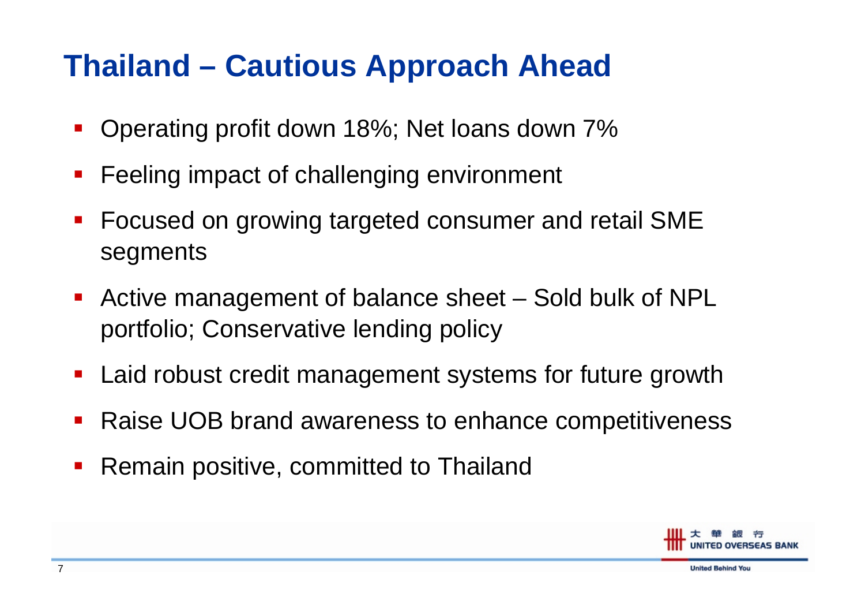### **Thailand – Cautious Approach Ahead**

- T. Operating profit down 18%; Net loans down 7%
- $\blacksquare$ Feeling impact of challenging environment
- $\mathcal{L}_{\mathcal{A}}$  Focused on growing targeted consumer and retail SME segments
- $\mathcal{L}_{\mathcal{A}}$  Active management of balance sheet – Sold bulk of NPL portfolio; Conservative lending policy
- Laid robust credit management systems for future growth
- b. Raise UOB brand awareness to enhance competitiveness
- k. Remain positive, committed to Thailand

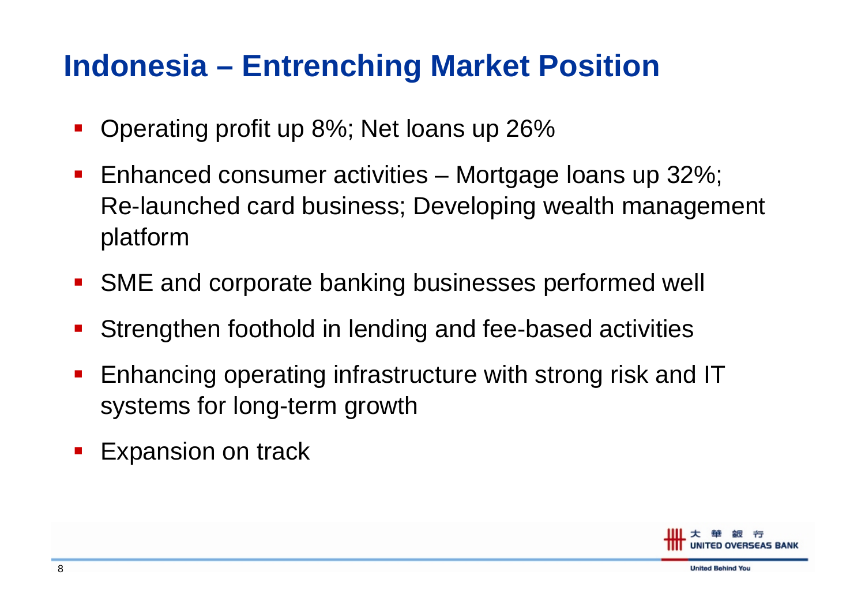### **Indonesia – Entrenching Market Position**

- T. Operating profit up 8%; Net loans up 26%
- $\mathcal{L}_{\mathcal{A}}$ ■ Enhanced consumer activities – Mortgage Ioans up 32%; Re-launched card business; Developing wealth management platform
- $\blacksquare$ SME and corporate banking businesses performed well
- b. Strengthen foothold in lending and fee-based activities
- b. Enhancing operating infrastructure with strong risk and IT systems for long-term growth
- T. Expansion on track

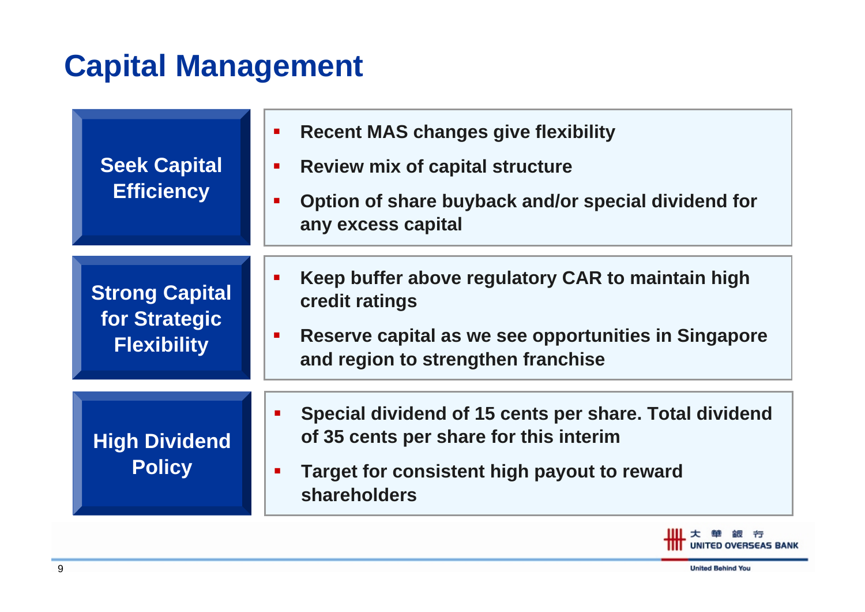### **Capital Management**

| <b>Seek Capital</b><br><b>Efficiency</b>                     | <b>Recent MAS changes give flexibility</b><br>$\mathcal{L}_{\mathcal{A}}$<br><b>Review mix of capital structure</b><br>$\blacksquare$<br>Option of share buyback and/or special dividend for<br>$\mathcal{L}_{\mathcal{A}}$<br>any excess capital |
|--------------------------------------------------------------|---------------------------------------------------------------------------------------------------------------------------------------------------------------------------------------------------------------------------------------------------|
| <b>Strong Capital</b><br>for Strategic<br><b>Flexibility</b> | Keep buffer above regulatory CAR to maintain high<br>credit ratings<br>Reserve capital as we see opportunities in Singapore<br>ш<br>and region to strengthen franchise                                                                            |
| <b>High Dividend</b><br><b>Policy</b>                        | Special dividend of 15 cents per share. Total dividend<br>п<br>of 35 cents per share for this interim<br>Target for consistent high payout to reward<br>$\mathbf{r}$<br>shareholders                                                              |